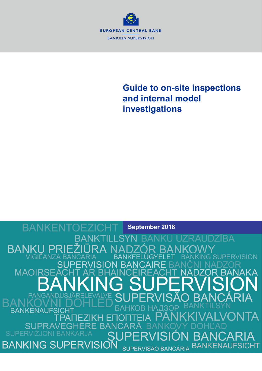

# **Guide to on-site inspections and internal model investigations**

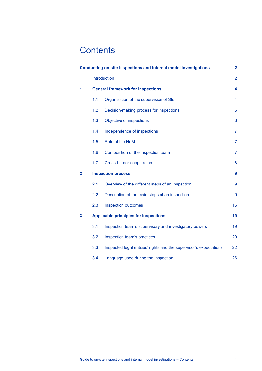# **Contents**

|                         | Conducting on-site inspections and internal model investigations<br>$\overline{2}$ |                                                                    |                 |  |  |
|-------------------------|------------------------------------------------------------------------------------|--------------------------------------------------------------------|-----------------|--|--|
|                         |                                                                                    | Introduction                                                       | $\overline{2}$  |  |  |
| 1                       | <b>General framework for inspections</b>                                           |                                                                    |                 |  |  |
|                         | 1.1                                                                                | Organisation of the supervision of SIs                             | 4               |  |  |
|                         | 1.2                                                                                | Decision-making process for inspections                            | 5               |  |  |
|                         | 1.3                                                                                | Objective of inspections                                           | $6\phantom{1}6$ |  |  |
|                         | 1.4                                                                                | Independence of inspections                                        | $\overline{7}$  |  |  |
|                         | 1.5                                                                                | Role of the HoM                                                    | $\overline{7}$  |  |  |
|                         | 1.6                                                                                | Composition of the inspection team                                 | $\overline{7}$  |  |  |
|                         | 1.7                                                                                | Cross-border cooperation                                           | 8               |  |  |
| $\overline{\mathbf{2}}$ | <b>Inspection process</b>                                                          |                                                                    |                 |  |  |
|                         | 2.1                                                                                | Overview of the different steps of an inspection                   | $\overline{9}$  |  |  |
|                         | 2.2                                                                                | Description of the main steps of an inspection                     | $\overline{9}$  |  |  |
|                         | 2.3                                                                                | <b>Inspection outcomes</b>                                         | 15              |  |  |
| 3                       |                                                                                    | <b>Applicable principles for inspections</b>                       | 19              |  |  |
|                         | 3.1                                                                                | Inspection team's supervisory and investigatory powers             | 19              |  |  |
|                         | 3.2                                                                                | Inspection team's practices                                        | 20              |  |  |
|                         | 3.3                                                                                | Inspected legal entities' rights and the supervisor's expectations | 22              |  |  |
|                         | 3.4                                                                                | Language used during the inspection                                | 26              |  |  |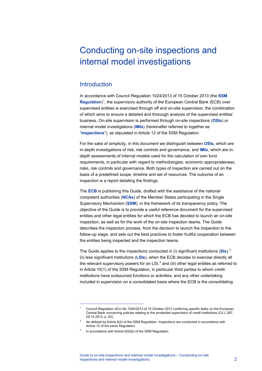# <span id="page-2-0"></span>Conducting on-site inspections and internal model investigations

## <span id="page-2-1"></span>**Introduction**

In accordance with Council Regulation 1024/2013 of 15 October 2013 (the **SSM**  Regulation)<sup>[1](#page-2-2)</sup>, the supervisory authority of the European Central Bank (ECB) over supervised entities is exercised through off and on-site supervision, the combination of which aims to ensure a detailed and thorough analysis of the supervised entities' business. On-site supervision is performed through on-site inspections (**OSIs**) or internal model investigations (**IMIs**) (hereinafter referred to together as "**inspections**"), as stipulated in Article 12 of the SSM Regulation.

For the sake of simplicity, in this document we distinguish between **OSIs,** which are in-depth investigations of risk, risk controls and governance, and **IMIs**, which are indepth assessments of internal models used for the calculation of own fund requirements, in particular with regard to methodologies, economic appropriateness, risks, risk controls and governance. Both types of inspection are carried out on the basis of a predefined scope, timeline and set of resources. The outcome of an inspection is a report detailing the findings.

The **ECB** is publishing this Guide, drafted with the assistance of the national competent authorities (**NCAs**) of the Member States participating in the Single Supervisory Mechanism (**SSM**), in the framework of its transparency policy. The objective of the Guide is to provide a useful reference document for the supervised entities and other legal entities for which the ECB has decided to launch an on-site inspection, as well as for the work of the on-site inspection teams. The Guide describes the inspection process, from the decision to launch the inspection to the follow-up stage, and sets out the best practices to foster fruitful cooperation between the entities being inspected and the inspection teams.

The Guide applies to the inspections conducted in (i) significant institutions (**SIs**), [2](#page-2-3) (ii) less significant institutions (**LSIs**), when the ECB decides to exercise directly all the relevant supervisory powers for an LSI, $^3$  $^3$  and (iii) other legal entities as referred to in Article 10(1) of the SSM Regulation, in particular third parties to whom credit institutions have outsourced functions or activities, and any other undertaking included in supervision on a consolidated basis where the ECB is the consolidating

<span id="page-2-2"></span>j

Council Regulation (EU) No 1024/2013 of 15 October 2013 conferring specific tasks on the European Central Bank concerning policies relating to the prudential supervision of credit institutions (OJ L 287, 29.10.2013, p. 63).

<span id="page-2-3"></span><sup>2</sup> As defined by Article 6(4) of the SSM Regulation. Inspections are conducted in accordance with Article 12 of the same Regulation.

<span id="page-2-4"></span>In accordance with Article 6(5)(b) of the SSM Regulation.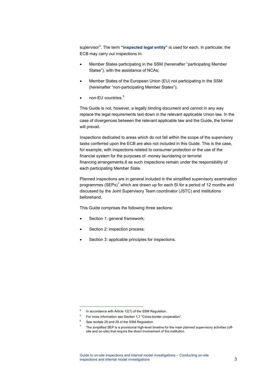supervisor<sup>[4](#page-3-0)</sup>. The term "**inspected legal entity**" is used for each. In particular, the ECB may carry out inspections in:

- Member States participating in the SSM (hereinafter "participating Member States"), with the assistance of NCAs;
- Member States of the European Union (EU) not participating in the SSM (hereinafter "non-participating Member States");
- non-FU countries.<sup>[5](#page-3-1)</sup>

This Guide is not, however, a legally binding document and cannot in any way replace the legal requirements laid down in the relevant applicable Union law. In the case of divergences between the relevant applicable law and the Guide, the former will prevail.

Inspections dedicated to areas which do not fall within the scope of the supervisory tasks conferred upon the ECB are also not included in this Guide. This is the case, for example, with inspections related to consumer protection or the use of the financial system for the purposes of -money laundering or terrorist financing arrangements,[6](#page-3-2) as such inspections remain under the responsibility of each participating Member State.

Planned inspections are in general included in the simplified supervisory examination programmes (SEPs)<sup>[7](#page-3-3)</sup> which are drawn up for each SI for a period of 12 months and discussed by the Joint Supervisory Team coordinator (JSTC) and institutions beforehand.

This Guide comprises the following three sections:

- Section 1: general framework;
- Section 2: inspection process;
- Section 3: applicable principles for inspections.

j

In accordance with Article 12(1) of the SSM Regulation.

<span id="page-3-3"></span><span id="page-3-2"></span><span id="page-3-1"></span><span id="page-3-0"></span><sup>5</sup> For more information see Section 1.7 "Cross-border cooperation".

 $6$  See recitals 28 and 29 of the SSM Regulation.

The simplified SEP is a provisional high-level timeline for the main planned supervisory activities (offsite and on-site) that require the direct involvement of the institution.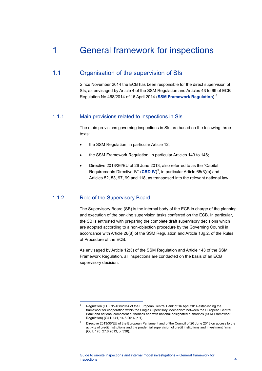## <span id="page-4-0"></span>1 General framework for inspections

### 1.1 Organisation of the supervision of SIs

<span id="page-4-1"></span>Since November 2014 the ECB has been responsible for the direct supervision of SIs, as envisaged by Article 4 of the SSM Regulation and Articles 43 to 69 of ECB Regulation No 468/2014 of 16 April 2014 (**SSM Framework Regulation**). [8](#page-4-2)

### 1.1.1 Main provisions related to inspections in SIs

The main provisions governing inspections in SIs are based on the following three texts:

- the SSM Regulation, in particular Article 12;
- the SSM Framework Regulation, in particular Articles 143 to 146;
- Directive 2013/36/EU of 26 June 2013, also referred to as the "Capital Requirements Directive IV" (CRD IV)<sup>[9](#page-4-3)</sup>, in particular Article 65(3)(c) and Articles 52, 53, 97, 99 and 118, as transposed into the relevant national law.

### 1.1.2 Role of the Supervisory Board

<span id="page-4-2"></span>j

The Supervisory Board (SB) is the internal body of the ECB in charge of the planning and execution of the banking supervision tasks conferred on the ECB. In particular, the SB is entrusted with preparing the complete draft supervisory decisions which are adopted according to a non-objection procedure by the Governing Council in accordance with Article 26(8) of the SSM Regulation and Article 13g.2. of the Rules of Procedure of the ECB.

As envisaged by Article 12(3) of the SSM Regulation and Article 143 of the SSM Framework Regulation, all inspections are conducted on the basis of an ECB supervisory decision.

Requlation (EU) No 468/2014 of the European Central Bank of 16 April 2014 establishing the framework for cooperation within the Single Supervisory Mechanism between the European Central Bank and national competent authorities and with national designated authorities (SSM Framework Regulation) (OJ L 141, 14.5.2014, p.1).

<span id="page-4-3"></span><sup>9</sup> Directive 2013/36/EU of the European Parliament and of the Council of 26 June 2013 on access to the activity of credit institutions and the prudential supervision of credit institutions and investment firms (OJ L 176, 27.6.2013, p. 338).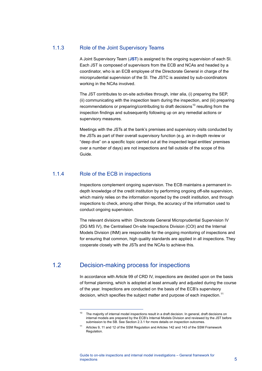### 1.1.3 Role of the Joint Supervisory Teams

A Joint Supervisory Team (**JST**) is assigned to the ongoing supervision of each SI. Each JST is composed of supervisors from the ECB and NCAs and headed by a coordinator, who is an ECB employee of the Directorate General in charge of the microprudential supervision of the SI. The JSTC is assisted by sub-coordinators working in the NCAs involved.

The JST contributes to on-site activities through, inter alia, (i) preparing the SEP, (ii) communicating with the inspection team during the inspection, and (iii) preparing recommendations or preparing/contributing to draft decisions<sup>[10](#page-5-1)</sup> resulting from the inspection findings and subsequently following up on any remedial actions or supervisory measures.

Meetings with the JSTs at the bank's premises and supervisory visits conducted by the JSTs as part of their overall supervisory function (e.g. an in-depth review or "deep dive" on a specific topic carried out at the inspected legal entities' premises over a number of days) are not inspections and fall outside of the scope of this Guide.

### 1.1.4 Role of the ECB in inspections

j

Inspections complement ongoing supervision. The ECB maintains a permanent indepth knowledge of the credit institution by performing ongoing off-site supervision, which mainly relies on the information reported by the credit institution, and through inspections to check, among other things, the accuracy of the information used to conduct ongoing supervision.

The relevant divisions within Directorate General Microprudential Supervision IV (DG MS IV), the Centralised On-site Inspections Division (COI) and the Internal Models Division (INM) are responsible for the ongoing monitoring of inspections and for ensuring that common, high quality standards are applied in all inspections. They cooperate closely with the JSTs and the NCAs to achieve this.

## <span id="page-5-1"></span>1.2 Decision-making process for inspections

<span id="page-5-0"></span>In accordance with Article 99 of CRD IV, inspections are decided upon on the basis of formal planning, which is adopted at least annually and adjusted during the course of the year. Inspections are conducted on the basis of the ECB's supervisory decision, which specifies the subject matter and purpose of each inspection.<sup>[11](#page-5-2)</sup>

<sup>&</sup>lt;sup>10</sup> The majority of internal model inspections result in a draft decision. In general, draft decisions on internal models are prepared by the ECB's Internal Models Division and reviewed by the JST before submission to the SB. See Section 2.3.1 for more details on inspection outcomes.

<span id="page-5-2"></span><sup>11</sup> Articles 9, 11 and 12 of the SSM Regulation and Articles 142 and 143 of the SSM Framework Regulation.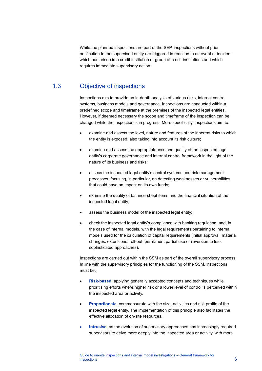While the planned inspections are part of the SEP, inspections without prior notification to the supervised entity are triggered in reaction to an event or incident which has arisen in a credit institution or group of credit institutions and which requires immediate supervisory action.

## 1.3 Objective of inspections

<span id="page-6-0"></span>Inspections aim to provide an in-depth analysis of various risks, internal control systems, business models and governance. Inspections are conducted within a predefined scope and timeframe at the premises of the inspected legal entities. However, if deemed necessary the scope and timeframe of the inspection can be changed while the inspection is in progress. More specifically, inspections aim to:

- examine and assess the level, nature and features of the inherent risks to which the entity is exposed, also taking into account its risk culture;
- examine and assess the appropriateness and quality of the inspected legal entity's corporate governance and internal control framework in the light of the nature of its business and risks;
- assess the inspected legal entity's control systems and risk management processes, focusing, in particular, on detecting weaknesses or vulnerabilities that could have an impact on its own funds;
- examine the quality of balance-sheet items and the financial situation of the inspected legal entity;
- assess the business model of the inspected legal entity;
- check the inspected legal entity's compliance with banking regulation, and, in the case of internal models, with the legal requirements pertaining to internal models used for the calculation of capital requirements (initial approval, material changes, extensions, roll-out, permanent partial use or reversion to less sophisticated approaches).

Inspections are carried out within the SSM as part of the overall supervisory process. In line with the supervisory principles for the functioning of the SSM, inspections must be:

- **Risk-based,** applying generally accepted concepts and techniques while prioritising efforts where higher risk or a lower level of control is perceived within the inspected area or activity.
- **Proportionate,** commensurate with the size, activities and risk profile of the inspected legal entity. The implementation of this principle also facilitates the effective allocation of on-site resources.
- **Intrusive, as the evolution of supervisory approaches has increasingly required** supervisors to delve more deeply into the inspected area or activity, with more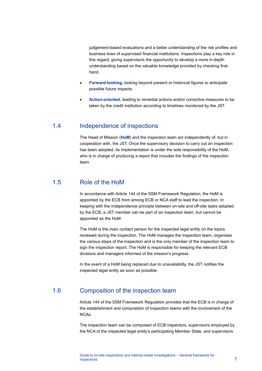judgement-based evaluations and a better understanding of the risk profiles and business lines of supervised financial institutions. Inspections play a key role in this regard, giving supervisors the opportunity to develop a more in-depth understanding based on the valuable knowledge provided by checking firsthand.

- **Forward-looking,** looking beyond present or historical figures to anticipate possible future impacts.
- <span id="page-7-0"></span>• **Action-oriented,** leading to remedial actions and/or corrective measures to be taken by the credit institution according to timelines monitored by the JST.

## 1.4 Independence of inspections

The Head of Mission (**HoM**) and the inspection team act independently of, but in cooperation with, the JST. Once the supervisory decision to carry out an inspection has been adopted, its implementation is under the sole responsibility of the HoM, who is in charge of producing a report that includes the findings of the inspection team.

## 1.5 Role of the HoM

<span id="page-7-1"></span>In accordance with Article 144 of the SSM Framework Regulation, the HoM is appointed by the ECB from among ECB or NCA staff to lead the inspection. In keeping with the independence principle between on-site and off-site tasks adopted by the ECB, a JST member can be part of an inspection team, but cannot be appointed as the HoM.

The HoM is the main contact person for the inspected legal entity on the topics reviewed during the inspection. The HoM manages the inspection team, organises the various steps of the inspection and is the only member of the inspection team to sign the inspection report. The HoM is responsible for keeping the relevant ECB divisions and managers informed of the mission's progress.

<span id="page-7-2"></span>In the event of a HoM being replaced due to unavailability, the JST notifies the inspected legal entity as soon as possible.

## 1.6 Composition of the inspection team

Article 144 of the SSM Framework Regulation provides that the ECB is in charge of the establishment and composition of inspection teams with the involvement of the NCAs.

The inspection team can be composed of ECB inspectors, supervisors employed by the NCA of the inspected legal entity's participating Member State, and supervisors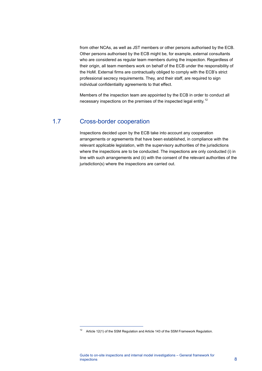from other NCAs, as well as JST members or other persons authorised by the ECB. Other persons authorised by the ECB might be, for example, external consultants who are considered as regular team members during the inspection. Regardless of their origin, all team members work on behalf of the ECB under the responsibility of the HoM. External firms are contractually obliged to comply with the ECB's strict professional secrecy requirements. They, and their staff, are required to sign individual confidentiality agreements to that effect.

<span id="page-8-0"></span>Members of the inspection team are appointed by the ECB in order to conduct all necessary inspections on the premises of the inspected legal entity.<sup>[12](#page-8-1)</sup>

## 1.7 Cross-border cooperation

j

Inspections decided upon by the ECB take into account any cooperation arrangements or agreements that have been established, in compliance with the relevant applicable legislation, with the supervisory authorities of the jurisdictions where the inspections are to be conducted. The inspections are only conducted (i) in line with such arrangements and (ii) with the consent of the relevant authorities of the jurisdiction(s) where the inspections are carried out.

<span id="page-8-1"></span><sup>&</sup>lt;sup>12</sup> Article 12(1) of the SSM Regulation and Article 143 of the SSM Framework Regulation.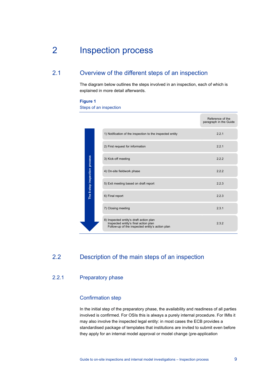## <span id="page-9-0"></span>2 Inspection process

## 2.1 Overview of the different steps of an inspection

<span id="page-9-1"></span>The diagram below outlines the steps involved in an inspection, each of which is explained in more detail afterwards.

#### **Figure 1**

Steps of an inspection

|                                                                                                                                                                                                                                                                                                                                                                                                                                                |                               |  |                                                                                                                                    | Reference of the<br>paragraph in the Guide |  |  |  |
|------------------------------------------------------------------------------------------------------------------------------------------------------------------------------------------------------------------------------------------------------------------------------------------------------------------------------------------------------------------------------------------------------------------------------------------------|-------------------------------|--|------------------------------------------------------------------------------------------------------------------------------------|--------------------------------------------|--|--|--|
|                                                                                                                                                                                                                                                                                                                                                                                                                                                |                               |  | 1) Notification of the inspection to the inspected entity                                                                          | 2.2.1                                      |  |  |  |
|                                                                                                                                                                                                                                                                                                                                                                                                                                                |                               |  | 2) First request for information                                                                                                   | 2.2.1                                      |  |  |  |
|                                                                                                                                                                                                                                                                                                                                                                                                                                                |                               |  | 3) Kick-off meeting                                                                                                                | 2.2.2                                      |  |  |  |
|                                                                                                                                                                                                                                                                                                                                                                                                                                                | The 8-step inspection process |  | 4) On-site fieldwork phase                                                                                                         | 2.2.2                                      |  |  |  |
|                                                                                                                                                                                                                                                                                                                                                                                                                                                |                               |  | 5) Exit meeting based on draft report                                                                                              | 2.2.3                                      |  |  |  |
|                                                                                                                                                                                                                                                                                                                                                                                                                                                |                               |  | 6) Final report                                                                                                                    | 2.2.3                                      |  |  |  |
|                                                                                                                                                                                                                                                                                                                                                                                                                                                |                               |  | 7) Closing meeting                                                                                                                 | 2.3.1                                      |  |  |  |
|                                                                                                                                                                                                                                                                                                                                                                                                                                                |                               |  | 8) Inspected entity's draft action plan<br>Inspected entity's final action plan<br>Follow-up of the inspected entity's action plan | 2.3.2                                      |  |  |  |
| Description of the main steps of an inspection<br><b>Preparatory phase</b>                                                                                                                                                                                                                                                                                                                                                                     |                               |  |                                                                                                                                    |                                            |  |  |  |
| <b>Confirmation step</b>                                                                                                                                                                                                                                                                                                                                                                                                                       |                               |  |                                                                                                                                    |                                            |  |  |  |
| In the initial step of the preparatory phase, the availability and readiness of all parties<br>involved is confirmed. For OSIs this is always a purely internal procedure. For IMIs it<br>may also involve the inspected legal entity: in most cases the ECB provides a<br>standardised package of templates that institutions are invited to submit even before<br>they apply for an internal model approval or model change (pre-application |                               |  |                                                                                                                                    |                                            |  |  |  |

## <span id="page-9-2"></span>2.2 Description of the main steps of an inspection

### 2.2.1 Preparatory phase

### Confirmation step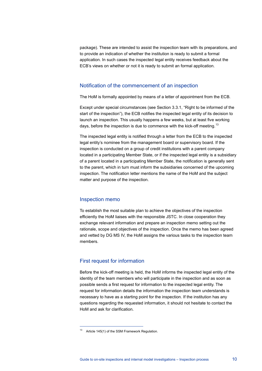package). These are intended to assist the inspection team with its preparations, and to provide an indication of whether the institution is ready to submit a formal application. In such cases the inspected legal entity receives feedback about the ECB's views on whether or not it is ready to submit an formal application.

### Notification of the commencement of an inspection

The HoM is formally appointed by means of a letter of appointment from the ECB.

Except under special circumstances (see Section 3.3.1, "Right to be informed of the start of the inspection"), the ECB notifies the inspected legal entity of its decision to launch an inspection. This usually happens a few weeks, but at least five working days, before the inspection is due to commence with the kick-off meeting.<sup>[13](#page-10-0)</sup>

The inspected legal entity is notified through a letter from the ECB to the inspected legal entity's nominee from the management board or supervisory board. If the inspection is conducted on a group of credit institutions with a parent company located in a participating Member State, or if the inspected legal entity is a subsidiary of a parent located in a participating Member State, the notification is generally sent to the parent, which in turn must inform the subsidiaries concerned of the upcoming inspection. The notification letter mentions the name of the HoM and the subject matter and purpose of the inspection.

### Inspection memo

To establish the most suitable plan to achieve the objectives of the inspection efficiently the HoM liaises with the responsible JSTC. In close cooperation they exchange relevant information and prepare an inspection memo setting out the rationale, scope and objectives of the inspection. Once the memo has been agreed and vetted by DG MS IV, the HoM assigns the various tasks to the inspection team members.

### First request for information

Before the kick-off meeting is held, the HoM informs the inspected legal entity of the identity of the team members who will participate in the inspection and as soon as possible sends a first request for information to the inspected legal entity. The request for information details the information the inspection team understands is necessary to have as a starting point for the inspection. If the institution has any questions regarding the requested information, it should not hesitate to contact the HoM and ask for clarification.

j

<span id="page-10-0"></span><sup>&</sup>lt;sup>13</sup> Article 145(1) of the SSM Framework Regulation.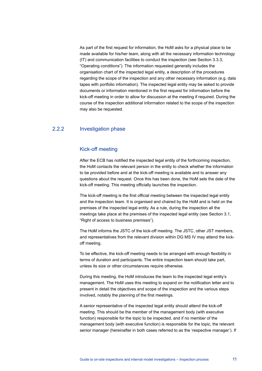As part of the first request for information, the HoM asks for a physical place to be made available for his/her team, along with all the necessary information technology (IT) and communication facilities to conduct the inspection (see Section 3.3.3, "Operating conditions"). The information requested generally includes the organisation chart of the inspected legal entity, a description of the procedures regarding the scope of the inspection and any other necessary information (e.g. data tapes with portfolio information). The inspected legal entity may be asked to provide documents or information mentioned in the first request for information before the kick-off meeting in order to allow for discussion at the meeting if required. During the course of the inspection additional information related to the scope of the inspection may also be requested.

### 2.2.2 Investigation phase

### Kick-off meeting

After the ECB has notified the inspected legal entity of the forthcoming inspection, the HoM contacts the relevant person in the entity to check whether the information to be provided before and at the kick-off meeting is available and to answer any questions about the request. Once this has been done, the HoM sets the date of the kick-off meeting. This meeting officially launches the inspection.

The kick-off meeting is the first official meeting between the inspected legal entity and the inspection team. It is organised and chaired by the HoM and is held on the premises of the inspected legal entity. As a rule, during the inspection all the meetings take place at the premises of the inspected legal entity (see Section 3.1, "Right of access to business premises").

The HoM informs the JSTC of the kick-off meeting. The JSTC, other JST members, and representatives from the relevant division within DG MS IV may attend the kickoff meeting.

To be effective, the kick-off meeting needs to be arranged with enough flexibility in terms of duration and participants. The entire inspection team should take part, unless its size or other circumstances require otherwise.

During this meeting, the HoM introduces the team to the inspected legal entity's management. The HoM uses this meeting to expand on the notification letter and to present in detail the objectives and scope of the inspection and the various steps involved, notably the planning of the first meetings.

A senior representative of the inspected legal entity should attend the kick-off meeting. This should be the member of the management body (with executive function) responsible for the topic to be inspected, and if no member of the management body (with executive function) is responsible for the topic, the relevant senior manager (hereinafter in both cases referred to as the 'respective manager'). If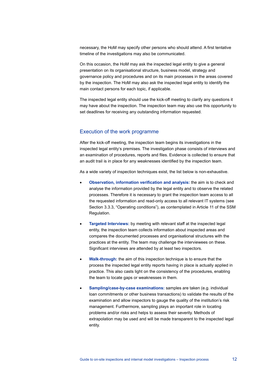necessary, the HoM may specify other persons who should attend. A first tentative timeline of the investigations may also be communicated.

On this occasion, the HoM may ask the inspected legal entity to give a general presentation on its organisational structure, business model, strategy and governance policy and procedures and on its main processes in the areas covered by the inspection. The HoM may also ask the inspected legal entity to identify the main contact persons for each topic, if applicable.

The inspected legal entity should use the kick-off meeting to clarify any questions it may have about the inspection. The inspection team may also use this opportunity to set deadlines for receiving any outstanding information requested.

### Execution of the work programme

After the kick-off meeting, the inspection team begins its investigations in the inspected legal entity's premises. The investigation phase consists of interviews and an examination of procedures, reports and files. Evidence is collected to ensure that an audit trail is in place for any weaknesses identified by the inspection team.

As a wide variety of inspection techniques exist, the list below is non-exhaustive.

- **Observation, information verification and analysis:** the aim is to check and analyse the information provided by the legal entity and to observe the related processes. Therefore it is necessary to grant the inspection team access to all the requested information and read-only access to all relevant IT systems (see Section 3.3.3, "Operating conditions"), as contemplated in Article 11 of the SSM Regulation.
- **Targeted Interviews:** by meeting with relevant staff at the inspected legal entity, the inspection team collects information about inspected areas and compares the documented processes and organisational structures with the practices at the entity. The team may challenge the interviewees on these. Significant interviews are attended by at least two inspectors.
- **Walk-through:** the aim of this inspection technique is to ensure that the process the inspected legal entity reports having in place is actually applied in practice. This also casts light on the consistency of the procedures, enabling the team to locate gaps or weaknesses in them.
- **Sampling/case-by-case examinations:** samples are taken (e.g. individual loan commitments or other business transactions) to validate the results of the examination and allow inspectors to gauge the quality of the institution's risk management. Furthermore, sampling plays an important role in locating problems and/or risks and helps to assess their severity. Methods of extrapolation may be used and will be made transparent to the inspected legal entity.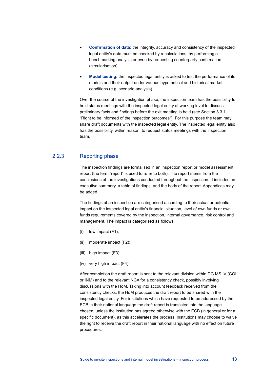- **Confirmation of data:** the integrity, accuracy and consistency of the inspected legal entity's data must be checked by recalculations, by performing a benchmarking analysis or even by requesting counterparty confirmation (circularisation).
- **Model testing:** the inspected legal entity is asked to test the performance of its models and their output under various hypothetical and historical market conditions (e.g. scenario analysis).

Over the course of the investigation phase, the inspection team has the possibility to hold status meetings with the inspected legal entity at working level to discuss preliminary facts and findings before the exit meeting is held (see Section 3.3.1 "Right to be informed of the inspection outcomes"). For this purpose the team may share draft documents with the inspected legal entity. The inspected legal entity also has the possibility, within reason, to request status meetings with the inspection team.

### 2.2.3 Reporting phase

The inspection findings are formalised in an inspection report or model assessment report (the term "report" is used to refer to both). The report stems from the conclusions of the investigations conducted throughout the inspection. It includes an executive summary, a table of findings, and the body of the report. Appendices may be added.

The findings of an inspection are categorised according to their actual or potential impact on the inspected legal entity's financial situation, level of own funds or own funds requirements covered by the inspection, internal governance, risk control and management. The impact is categorised as follows:

- (i) low impact (F1);
- (ii) moderate impact (F2);
- (iii) high impact (F3);
- (iv) very high impact (F4).

After completion the draft report is sent to the relevant division within DG MS IV (COI or INM) and to the relevant NCA for a consistency check, possibly involving discussions with the HoM. Taking into account feedback received from the consistency checks, the HoM produces the draft report to be shared with the inspected legal entity. For institutions which have requested to be addressed by the ECB in their national language the draft report is translated into the language chosen, unless the institution has agreed otherwise with the ECB (in general or for a specific document), as this accelerates the process. Institutions may choose to waive the right to receive the draft report in their national language with no effect on future procedures.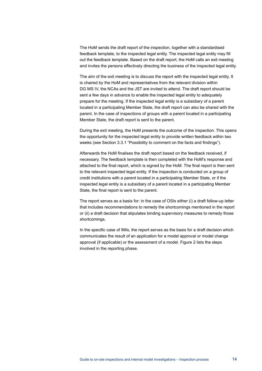The HoM sends the draft report of the inspection, together with a standardised feedback template, to the inspected legal entity. The inspected legal entity may fill out the feedback template. Based on the draft report, the HoM calls an exit meeting and invites the persons effectively directing the business of the inspected legal entity.

The aim of the exit meeting is to discuss the report with the inspected legal entity. It is chaired by the HoM and representatives from the relevant division within DG MS IV, the NCAs and the JST are invited to attend. The draft report should be sent a few days in advance to enable the inspected legal entity to adequately prepare for the meeting. If the inspected legal entity is a subsidiary of a parent located in a participating Member State, the draft report can also be shared with the parent. In the case of inspections of groups with a parent located in a participating Member State, the draft report is sent to the parent.

During the exit meeting, the HoM presents the outcome of the inspection. This opens the opportunity for the inspected legal entity to provide written feedback within two weeks (see Section 3.3.1 "Possibility to comment on the facts and findings").

Afterwards the HoM finalises the draft report based on the feedback received, if necessary. The feedback template is then completed with the HoM's response and attached to the final report, which is signed by the HoM. The final report is then sent to the relevant inspected legal entity. If the inspection is conducted on a group of credit institutions with a parent located in a participating Member State, or if the inspected legal entity is a subsidiary of a parent located in a participating Member State, the final report is sent to the parent.

The report serves as a basis for: in the case of OSIs either (i) a draft follow-up letter that includes recommendations to remedy the shortcomings mentioned in the report or (ii) a draft decision that stipulates binding supervisory measures to remedy those shortcomings.

In the specific case of IMIs, the report serves as the basis for a draft decision which communicates the result of an application for a model approval or model change approval (if applicable) or the assessment of a model. Figure 2 lists the steps involved in the reporting phase.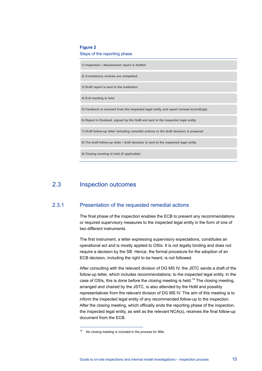#### **Figure 2**

#### Steps of the reporting phase

**1) Inspection / Assessment report is drafted**

**2) Consistency reviews are completed** 

**3) Draft report is sent to the institution**

**4) Exit meeting is held**

**5) Feedback is received from the inspected legal entity and report revised accordingly**

**6) Report is finalised, signed by the HoM and sent to the inspected legal entity**

**7) Draft follow-up letter including remedial actions or the draft decision is prepared**

**8) The draft follow-up letter / draft decision is sent to the inspected legal entity**

<span id="page-15-0"></span>**9) Closing meeting is held (if applicable)**

### 2.3 Inspection outcomes

j

### 2.3.1 Presentation of the requested remedial actions

The final phase of the inspection enables the ECB to present any recommendations or required supervisory measures to the inspected legal entity in the form of one of two different instruments.

The first instrument, a letter expressing supervisory expectations, constitutes an operational act and is mostly applied to OSIs. It is not legally binding and does not require a decision by the SB. Hence, the formal procedure for the adoption of an ECB decision, including the right to be heard, is not followed.

After consulting with the relevant division of DG MS IV, the JSTC sends a draft of the follow-up letter, which includes recommendations, to the inspected legal entity. In the case of OSIs, this is done before the closing meeting is held.<sup>[14](#page-15-1)</sup> The closing meeting, arranged and chaired by the JSTC, is also attended by the HoM and possibly representatives from the relevant division of DG MS IV. The aim of this meeting is to inform the inspected legal entity of any recommended follow-up to the inspection. After the closing meeting, which officially ends the reporting phase of the inspection, the inspected legal entity, as well as the relevant NCA(s), receives the final follow-up document from the ECB.

<span id="page-15-1"></span><sup>&</sup>lt;sup>14</sup> No closing meeting is included in the process for IMIs.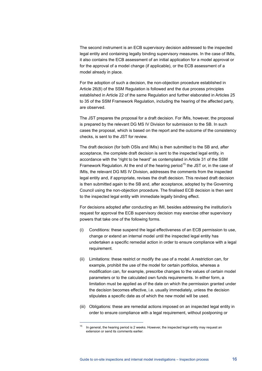The second instrument is an ECB supervisory decision addressed to the inspected legal entity and containing legally binding supervisory measures. In the case of IMIs, it also contains the ECB assessment of an initial application for a model approval or for the approval of a model change (if applicable), or the ECB assessment of a model already in place.

For the adoption of such a decision, the non-objection procedure established in Article 26(8) of the SSM Regulation is followed and the due process principles established in Article 22 of the same Regulation and further elaborated in Articles 25 to 35 of the SSM Framework Regulation, including the hearing of the affected party, are observed.

The JST prepares the proposal for a draft decision. For IMIs, however, the proposal is prepared by the relevant DG MS IV Division for submission to the SB. In such cases the proposal, which is based on the report and the outcome of the consistency checks, is sent to the JST for review.

The draft decision (for both OSIs and IMIs) is then submitted to the SB and, after acceptance, the complete draft decision is sent to the inspected legal entity, in accordance with the "right to be heard" as contemplated in Article 31 of the SSM Framework Regulation. At the end of the hearing period<sup>[15](#page-16-0)</sup> the JST or, in the case of IMIs, the relevant DG MS IV Division, addresses the comments from the inspected legal entity and, if appropriate, revises the draft decision. This revised draft decision is then submitted again to the SB and, after acceptance, adopted by the Governing Council using the non-objection procedure. The finalised ECB decision is then sent to the inspected legal entity with immediate legally binding effect.

For decisions adopted after conducting an IMI, besides addressing the institution's request for approval the ECB supervisory decision may exercise other supervisory powers that take one of the following forms.

- (i) Conditions: these suspend the legal effectiveness of an ECB permission to use, change or extend an internal model until the inspected legal entity has undertaken a specific remedial action in order to ensure compliance with a legal requirement.
- (ii) Limitations: these restrict or modify the use of a model. A restriction can, for example, prohibit the use of the model for certain portfolios, whereas a modification can, for example, prescribe changes to the values of certain model parameters or to the calculated own funds requirements. In either form, a limitation must be applied as of the date on which the permission granted under the decision becomes effective, i.e. usually immediately, unless the decision stipulates a specific date as of which the new model will be used.
- (iii) Obligations: these are remedial actions imposed on an inspected legal entity in order to ensure compliance with a legal requirement, without postponing or

j

<span id="page-16-0"></span>In general, the hearing period is 2 weeks. However, the inspected legal entity may request an extension or send its comments earlier.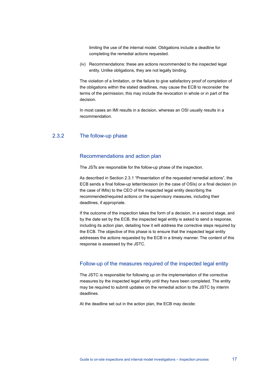limiting the use of the internal model. Obligations include a deadline for completing the remedial actions requested.

(iv) Recommendations: these are actions recommended to the inspected legal entity. Unlike obligations, they are not legally binding.

The violation of a limitation, or the failure to give satisfactory proof of completion of the obligations within the stated deadlines, may cause the ECB to reconsider the terms of the permission; this may include the revocation in whole or in part of the decision.

In most cases an IMI results in a decision, whereas an OSI usually results in a recommendation.

### 2.3.2 The follow-up phase

### Recommendations and action plan

The JSTs are responsible for the follow-up phase of the inspection.

As described in Section 2.3.1 "Presentation of the requested remedial actions", the ECB sends a final follow-up letter/decision (in the case of OSIs) or a final decision (in the case of IMIs) to the CEO of the inspected legal entity describing the recommended/required actions or the supervisory measures, including their deadlines, if appropriate.

If the outcome of the inspection takes the form of a decision, in a second stage, and by the date set by the ECB, the inspected legal entity is asked to send a response, including its action plan, detailing how it will address the corrective steps required by the ECB. The objective of this phase is to ensure that the inspected legal entity addresses the actions requested by the ECB in a timely manner. The content of this response is assessed by the JSTC.

### Follow-up of the measures required of the inspected legal entity

The JSTC is responsible for following up on the implementation of the corrective measures by the inspected legal entity until they have been completed. The entity may be required to submit updates on the remedial action to the JSTC by interim deadlines.

At the deadline set out in the action plan, the ECB may decide: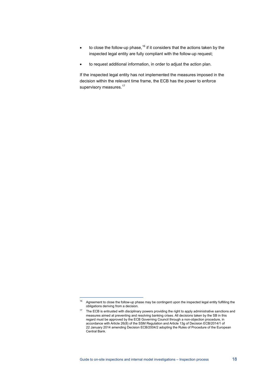- $\bullet$  to close the follow-up phase, <sup>[16](#page-18-0)</sup> if it considers that the actions taken by the inspected legal entity are fully compliant with the follow-up request;
- to request additional information, in order to adjust the action plan.

If the inspected legal entity has not implemented the measures imposed in the decision within the relevant time frame, the ECB has the power to enforce supervisory measures.<sup>[17](#page-18-1)</sup>

j

<span id="page-18-1"></span><span id="page-18-0"></span> $16$  Agreement to close the follow-up phase may be contingent upon the inspected legal entity fulfilling the obligations deriving from a decision.

<sup>&</sup>lt;sup>17</sup> The ECB is entrusted with disciplinary powers providing the right to apply administrative sanctions and measures aimed at preventing and resolving banking crises. All decisions taken by the SB in this regard must be approved by the ECB Governing Council through a non-objection procedure, in accordance with Article 26(8) of the SSM Regulation and Article 13g of Decision ECB/2014/1 of 22 January 2014 amending Decision ECB/2004/2 adopting the Rules of Procedure of the European Central Bank.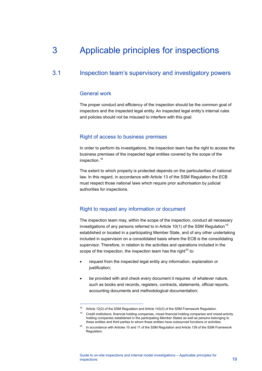# <span id="page-19-0"></span>3 Applicable principles for inspections

## 3.1 Inspection team's supervisory and investigatory powers

### <span id="page-19-1"></span>General work

j

The proper conduct and efficiency of the inspection should be the common goal of inspectors and the inspected legal entity. An inspected legal entity's internal rules and policies should not be misused to interfere with this goal.

### Right of access to business premises

In order to perform its investigations, the inspection team has the right to access the business premises of the inspected legal entities covered by the scope of the inspection. [18](#page-19-2)

The extent to which property is protected depends on the particularities of national law. In this regard, in accordance with Article 13 of the SSM Regulation the ECB must respect those national laws which require prior authorisation by judicial authorities for inspections.

### Right to request any information or document

The inspection team may, within the scope of the inspection, conduct all necessary investigations of any persons referred to in Article 10(1) of the SSM Regulation<sup>[19](#page-19-3)</sup> established or located in a participating Member State, and of any other undertaking included in supervision on a consolidated basis where the ECB is the consolidating supervisor. Therefore, in relation to the activities and operations included in the scope of the inspection, the inspection team has the right $^{20}$  $^{20}$  $^{20}$  to:

- request from the inspected legal entity any information, explanation or justification;
- be provided with and check every document it requires of whatever nature, such as books and records, registers, contracts, statements, official reports, accounting documents and methodological documentation;

<span id="page-19-2"></span><sup>&</sup>lt;sup>18</sup> Article 12(2) of the SSM Regulation and Article 143(3) of the SSM Framework Regulation.

<span id="page-19-3"></span><sup>&</sup>lt;sup>19</sup> Credit institutions, financial holding companies, mixed financial holding companies and mixed-activity holding companies established in the participating Member States as well as persons belonging to these entities and third parties to whom these entities have outsourced functions or activities.

<span id="page-19-4"></span> $20$  In accordance with Articles 10 and 11 of the SSM Regulation and Article 139 of the SSM Framework Regulation.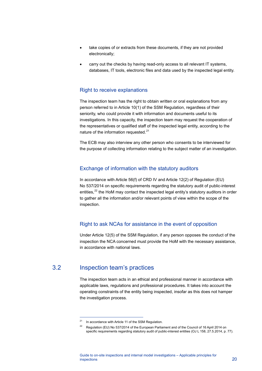- take copies of or extracts from these documents, if they are not provided electronically;
- carry out the checks by having read-only access to all relevant IT systems, databases, IT tools, electronic files and data used by the inspected legal entity.

### Right to receive explanations

The inspection team has the right to obtain written or oral explanations from any person referred to in Article 10(1) of the SSM Regulation, regardless of their seniority, who could provide it with information and documents useful to its investigations. In this capacity, the inspection team may request the cooperation of the representatives or qualified staff of the inspected legal entity, according to the nature of the information requested.<sup>[21](#page-20-1)</sup>

The ECB may also interview any other person who consents to be interviewed for the purpose of collecting information relating to the subject matter of an investigation.

### Exchange of information with the statutory auditors

In accordance with Article 56(f) of CRD IV and Article 12(2) of Regulation (EU) No 537/2014 on specific requirements regarding the statutory audit of public-interest entities, $^{22}$  $^{22}$  $^{22}$  the HoM may contact the inspected legal entity's statutory auditors in order to gather all the information and/or relevant points of view within the scope of the inspection.

### Right to ask NCAs for assistance in the event of opposition

<span id="page-20-0"></span>Under Article 12(5) of the SSM Regulation, if any person opposes the conduct of the inspection the NCA concerned must provide the HoM with the necessary assistance, in accordance with national laws.

## <span id="page-20-1"></span>3.2 Inspection team's practices

j

The inspection team acts in an ethical and professional manner in accordance with applicable laws, regulations and professional procedures. It takes into account the operating constraints of the entity being inspected, insofar as this does not hamper the investigation process.

 $21$  In accordance with Article 11 of the SSM Regulation.

<span id="page-20-2"></span><sup>&</sup>lt;sup>22</sup> Regulation (EU) No 537/2014 of the European Parliament and of the Council of 16 April 2014 on specific requirements regarding statutory audit of public-interest entities (OJ L 158, 27.5.2014, p. 77).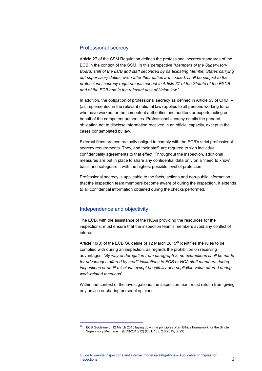### Professional secrecy

Article 27 of the SSM Regulation defines the professional secrecy standards of the ECB in the context of the SSM. In this perspective "*Members of the Supervisory Board, staff of the ECB and staff seconded by participating Member States carrying out supervisory duties, even after their duties are ceased, shall be subject to the professional secrecy requirements set out in Article 37 of the Statute of the ESCB and of the ECB and in the relevant acts of Union law.*"

In addition, the obligation of professional secrecy as defined in Article 53 of CRD IV (as implemented in the relevant national law) applies to all persons working for or who have worked for the competent authorities and auditors or experts acting on behalf of the competent authorities. Professional secrecy entails the general obligation not to disclose information received in an official capacity, except in the cases contemplated by law.

External firms are contractually obliged to comply with the ECB's strict professional secrecy requirements. They, and their staff, are required to sign individual confidentiality agreements to that effect. Throughout the inspection, additional measures are put in place to share any confidential data only on a "need to know" basis and safeguard it with the highest possible level of protection.

Professional secrecy is applicable to the facts, actions and non-public information that the inspection team members become aware of during the inspection. It extends to all confidential information obtained during the checks performed.

### Independence and objectivity

The ECB, with the assistance of the NCAs providing the resources for the inspections, must ensure that the inspection team's members avoid any conflict of interest.

Article 10(3) of the ECB [Guideline of 12 March 2015](https://www.ecb.europa.eu/ecb/legal/pdf/celex_32015o0012_en_txt.pdf) $^{23}$  $^{23}$  $^{23}$  identifies the rules to be complied with during an inspection, as regards the prohibition on receiving advantages: "*By way of derogation from paragraph 2, no exemptions shall be made for advantages offered by credit institutions to ECB or NCA staff members during inspections or audit missions except hospitality of a negligible value offered during work-related meetings*".

Within the context of the investigations, the inspection team must refrain from giving any advice or sharing personal opinions.

<span id="page-21-0"></span>ECB Guideline of 12 March 2015 laying down the principles of an Ethics Framework for the Single Supervisory Mechanism (ECB/2015/12) (OJ L 135, 2.6.2015, p. 29).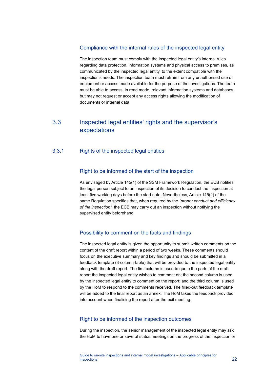### Compliance with the internal rules of the inspected legal entity

The inspection team must comply with the inspected legal entity's internal rules regarding data protection, information systems and physical access to premises, as communicated by the inspected legal entity, to the extent compatible with the inspection's needs. The inspection team must refrain from any unauthorised use of equipment or access made available for the purpose of the investigations. The team must be able to access, in read mode, relevant information systems and databases, but may not request or accept any access rights allowing the modification of documents or internal data.

## <span id="page-22-0"></span>3.3 Inspected legal entities' rights and the supervisor's expectations

### 3.3.1 Rights of the inspected legal entities

### Right to be informed of the start of the inspection

As envisaged by Article 145(1) of the SSM Framework Regulation, the ECB notifies the legal person subject to an inspection of its decision to conduct the inspection at least five working days before the start date. Nevertheless, Article 145(2) of the same Regulation specifies that, when required by the *"proper conduct and efficiency of the inspection"*, the ECB may carry out an inspection without notifying the supervised entity beforehand.

### Possibility to comment on the facts and findings

The inspected legal entity is given the opportunity to submit written comments on the content of the draft report within a period of two weeks. These comments should focus on the executive summary and key findings and should be submitted in a feedback template (3-column-table) that will be provided to the inspected legal entity along with the draft report. The first column is used to quote the parts of the draft report the inspected legal entity wishes to comment on; the second column is used by the inspected legal entity to comment on the report; and the third column is used by the HoM to respond to the comments received. The filled-out feedback template will be added to the final report as an annex. The HoM takes the feedback provided into account when finalising the report after the exit meeting.

### Right to be informed of the inspection outcomes

During the inspection, the senior management of the inspected legal entity may ask the HoM to have one or several status meetings on the progress of the inspection or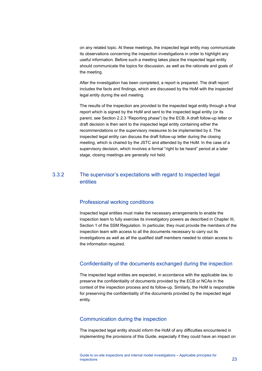on any related topic. At these meetings, the inspected legal entity may communicate its observations concerning the inspection investigations in order to highlight any useful information. Before such a meeting takes place the inspected legal entity should communicate the topics for discussion, as well as the rationale and goals of the meeting.

After the investigation has been completed, a report is prepared. The draft report includes the facts and findings, which are discussed by the HoM with the inspected legal entity during the exit meeting.

The results of the inspection are provided to the inspected legal entity through a final report which is signed by the HoM and sent to the inspected legal entity (or its parent, see Section 2.2.3 "Reporting phase") by the ECB. A draft follow-up letter or draft decision is then sent to the inspected legal entity containing either the recommendations or the supervisory measures to be implemented by it. The inspected legal entity can discuss the draft follow-up letter during the closing meeting, which is chaired by the JSTC and attended by the HoM. In the case of a supervisory decision, which involves a formal "right to be heard" period at a later stage, closing meetings are generally not held.

### 3.3.2 The supervisor's expectations with regard to inspected legal entities

### Professional working conditions

Inspected legal entities must make the necessary arrangements to enable the inspection team to fully exercise its investigatory powers as described in Chapter III, Section 1 of the SSM Regulation. In particular, they must provide the members of the inspection team with access to all the documents necessary to carry out its investigations as well as all the qualified staff members needed to obtain access to the information required.

### Confidentiality of the documents exchanged during the inspection

The inspected legal entities are expected, in accordance with the applicable law, to preserve the confidentiality of documents provided by the ECB or NCAs in the context of the inspection process and its follow-up. Similarly, the HoM is responsible for preserving the confidentiality of the documents provided by the inspected legal entity.

### Communication during the inspection

The inspected legal entity should inform the HoM of any difficulties encountered in implementing the provisions of this Guide, especially if they could have an impact on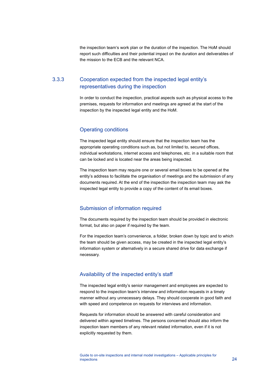the inspection team's work plan or the duration of the inspection. The HoM should report such difficulties and their potential impact on the duration and deliverables of the mission to the ECB and the relevant NCA.

## 3.3.3 Cooperation expected from the inspected legal entity's representatives during the inspection

In order to conduct the inspection, practical aspects such as physical access to the premises, requests for information and meetings are agreed at the start of the inspection by the inspected legal entity and the HoM.

### Operating conditions

The inspected legal entity should ensure that the inspection team has the appropriate operating conditions such as, but not limited to, secured offices, individual workstations, internet access and telephones, etc. in a suitable room that can be locked and is located near the areas being inspected.

The inspection team may require one or several email boxes to be opened at the entity's address to facilitate the organisation of meetings and the submission of any documents required. At the end of the inspection the inspection team may ask the inspected legal entity to provide a copy of the content of its email boxes.

### Submission of information required

The documents required by the inspection team should be provided in electronic format, but also on paper if required by the team.

For the inspection team's convenience, a folder, broken down by topic and to which the team should be given access, may be created in the inspected legal entity's information system or alternatively in a secure shared drive for data exchange if necessary.

### Availability of the inspected entity's staff

The inspected legal entity's senior management and employees are expected to respond to the inspection team's interview and information requests in a timely manner without any unnecessary delays. They should cooperate in good faith and with speed and competence on requests for interviews and information.

Requests for information should be answered with careful consideration and delivered within agreed timelines. The persons concerned should also inform the inspection team members of any relevant related information, even if it is not explicitly requested by them.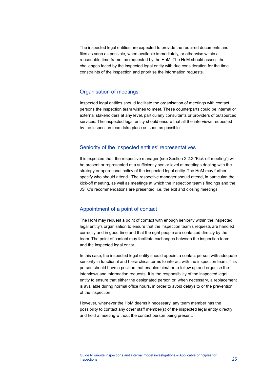The inspected legal entities are expected to provide the required documents and files as soon as possible, when available immediately, or otherwise within a reasonable time frame, as requested by the HoM. The HoM should assess the challenges faced by the inspected legal entity with due consideration for the time constraints of the inspection and prioritise the information requests.

### Organisation of meetings

Inspected legal entities should facilitate the organisation of meetings with contact persons the inspection team wishes to meet. These counterparts could be internal or external stakeholders at any level, particularly consultants or providers of outsourced services. The inspected legal entity should ensure that all the interviews requested by the inspection team take place as soon as possible.

### Seniority of the inspected entities' representatives

It is expected that the respective manager (see Section 2.2.2 "Kick-off meeting") will be present or represented at a sufficiently senior level at meetings dealing with the strategy or operational policy of the inspected legal entity. The HoM may further specify who should attend. The respective manager should attend, in particular, the kick-off meeting, as well as meetings at which the inspection team's findings and the JSTC's recommendations are presented, i.e. the exit and closing meetings.

### Appointment of a point of contact

The HoM may request a point of contact with enough seniority within the inspected legal entity's organisation to ensure that the inspection team's requests are handled correctly and in good time and that the right people are contacted directly by the team. The point of contact may facilitate exchanges between the inspection team and the inspected legal entity.

In this case, the inspected legal entity should appoint a contact person with adequate seniority in functional and hierarchical terms to interact with the inspection team. This person should have a position that enables him/her to follow up and organise the interviews and information requests. It is the responsibility of the inspected legal entity to ensure that either the designated person or, when necessary, a replacement is available during normal office hours, in order to avoid delays to or the prevention of the inspection.

However, whenever the HoM deems it necessary, any team member has the possibility to contact any other staff member(s) of the inspected legal entity directly and hold a meeting without the contact person being present.